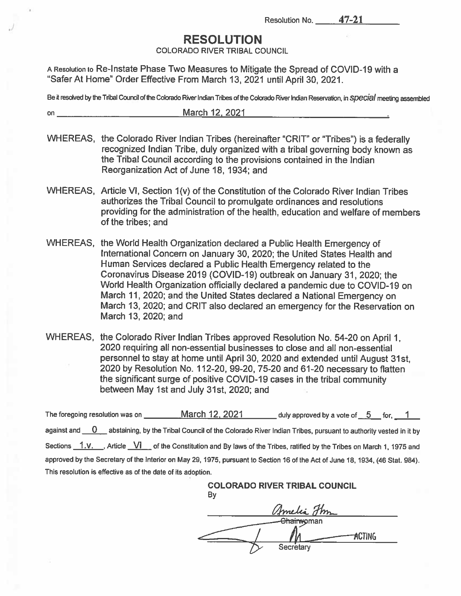Resolution No. 47-21

## RESOLUTION

COLORADO RIVER TRIBAL COUNCIL

A Resolution to Re-Instate Phase Two Measures to Mitigate the Spread of COVID-19 with a "Safer At Home" Order Effective From March 13, 2021 until April 30, 2021.

Be it resolved by the Tribal Council of the Colorado River Indian Tribes of the Colorado River Indian Reservation, in SDecial meeting assembled

- on March 12. 2021
- WHEREAS, the Colorado River Indian Tribes (hereinafter "CRIT" or "Tribes') is <sup>a</sup> federally recognized Indian Tribe, duly organized with <sup>a</sup> tribal governing body known as the Tribal Council according to the provisions contained in the Indian Reorganization Act of June 18, 1934; and
- WHEREAS, Article VI, Section 1(v) of the Constitution of the Colorado River Indian Tribes authorizes the Tribal Council to promulgate ordinances and resolutions providing for the administration of the health, education and welfare of members of the tribes; and
- WHEREAS, the World Health Organization declared <sup>a</sup> Public Health Emergency of International Concern on January 30, 2020; the United States Health and Human Services declared <sup>a</sup> Public Health Emergency related to the Coronavirus Disease 2019 (COVID-19) outbreak on January 31, 2020; the World Health Organization officially declared a pandemic due to COVID-19 on March 11, 2020; and the United States declared <sup>a</sup> National Emergency on March 13, 2020; and CRIT also declared an emergency for the Reservation on March 13, 2020; and
- WHEREAS, the Colorado River Indian Tribes approve<sup>d</sup> Resolution No. 54-20 on April 1, 2020 requiring all non-essential businesses to close and all non-essential personne<sup>l</sup> to stay at home until April 30, <sup>2020</sup> and extended until August 31st, 2020 by Resolution No. 112-20, 99-20, 75-20 and 61-20 necessary to flatten the significant surge of positive COVID-19 cases in the tribal community between May 1st and July 31st, 2020; and

The foregoing resolution was on \_\_\_\_\_\_\_\_\_\_March 12, 2021 duly approved by a vote of 5 for, 1 against and  $\overline{0}$  abstaining, by the Tribal Council of the Colorado River Indian Tribes, pursuant to authority vested in it by Sections 1.v. , Article <u>VI</u> of the Constitution and By laws of the Tribes, ratified by the Tribes on March 1, 1975 and approve<sup>d</sup> by the Secretary of the Interior on May 29, 1975, pursuan<sup>t</sup> to Section <sup>16</sup> of the Act of June 18, 1934, (46 Stat. 984). This resolution is effective as of the date of its adoption.

> COLORADO RIVER TRIBAL COUNCIL By

Chairwoman  $ACTING$ Secretary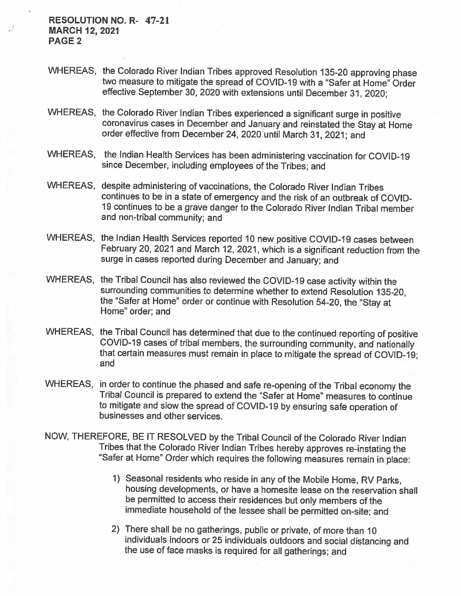RESOLUTION NO. R- 47-21 MARCH 12, 2021 PAGE 2

- WHEREAS, the Colorado River Indian Tribes approved Resolution 135-20 approving <sup>p</sup>hase two measure to mitigate the spread of COVID-19 with a "Safer at Home" Order effective September 30, <sup>2020</sup> with extensions until December 31, 2020;
- WHEREAS, the Colorado River Indian Tribes experienced <sup>a</sup> significant surge in positive coronavirus cases in December and January and reinstated the Stay at Home order effective from December 24, 2020 until March 31, 2021; and
- WHEREAS, the Indian Health Services has been administering vaccination for COVID-19 since December, including employees of the Tribes; and
- WHEREAS, despite administering of vaccinations, the Colorado River Indian Tribes continues to be in <sup>a</sup> state of emergency and the risk of an outbreak of COVID 19 continues to be <sup>a</sup> grave danger to the Colorado River Indian Tribal member and non-tribal community; and
- WHEREAS, the Indian Health Services reported <sup>10</sup> new positive COVID-19 cases between February 20, <sup>2021</sup> and March 12, 2021, which is <sup>a</sup> significant reduction from the surge in cases reported during December and January; and
- WHEREAS, the Tribal Council has also reviewed the COVID-19 case activity within the surrounding communities to determine whether to extend Resolution 135-20, the "Safer at Home" order or continue with Resolution 54-20, the "Stay at Home" order; and
- WHEREAS, the Tribal Council has determined that due to the continued reporting of positive<br>COVID-19 cases of tribal members, the surrounding community, and nationally<br>that certain measures must remain in place to mitigate and
- WHEREAS, in order to continue the phased and safe re-opening of the Tribal economy the<br>Tribal Council is prepared to extend the "Safer at Home" measures to continue to mitigate and slow the spread of COVID-19 by ensuring safe operation of businesses and other services.
- NOW, THEREFORE, BE IT RESOLVED by the Tribal Council of the Colorado River Indian Tribes that the Colorado River Indian Tribes hereby approves re-instating the "Safer at Home" Order which requires the following measures remain in <sup>p</sup>lace:
	- 1) Seasonal residents who reside in any of the Mobile Home, RV Parks, housing developments, or have <sup>a</sup> homesite lease on the reservation shall be permitted to access their residences but only members of the immediate household of the lessee shall be permitted on-site; and
	- 2) There shall be no gatherings, public or private, of more than <sup>10</sup> individuals indoors or <sup>25</sup> individuals outdoors and social distancing and the use of face masks is required for all gatherings; and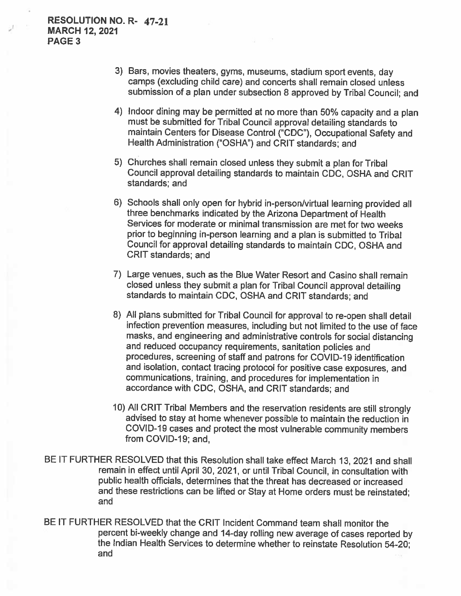- 3) Bars, movies theaters, gyms, museums, stadium sport events, day camps (excluding child care) and concerts shall remain closed unless submission of <sup>a</sup> <sup>p</sup>lan under subsection <sup>8</sup> approved by Tribal Council; and
- 4) Indoor dining may be permitted at no more than 50% capacity and <sup>a</sup> <sup>p</sup>lan must be submitted for Tribal Council approval detailing standards to maintain Centers for Disease Control ("CDC"), Occupational Safety and Health Administration ("OSHA") and CRIT standards; and
- 5) Churches shall remain closed unless they submit <sup>a</sup> <sup>p</sup>lan for Tribal Council approval detailing standards to maintain CDC, OSHA and CRIT standards; and
- 6) Schools shall only open for hybrid in-person/virtual learning provided all three benchmarks indicated by the Arizona Department of Health Services for moderate or minimal transmission are met for two weeks prior to beginning in-person learning and <sup>a</sup> <sup>p</sup>lan is submitted to Tribal Council for approval detailing standards to maintain CDC, OSHA and CRIT standards; and
- 7) Large venues, such as the Blue Water Resort and Casino shall remain closed unless they submit <sup>a</sup> <sup>p</sup>lan for Tribal Council approval detailing standards to maintain CDC, OSHA and CRIT standards; and
- 8) All <sup>p</sup>lans submitted for Tribal Council for approval to re-open shall detail infection prevention measures, including but not limited to the use of face masks, and engineering and administrative controls for social distancing and reduced occupancy requirements, sanitation policies and procedures, screening of staff and patrons for COVID-19 identification and isolation, contact tracing protocol for positive case exposures, and communications, training, and procedures for implementation in accordance with CDC, OSHA, and CRIT standards; and
- 10) All CRIT Tribal Members and the reservation residents are still strongly advised to stay at home whenever possible to maintain the reduction in COVID-19 cases and protect the most vulnerable community members from COVID-19; and,
- BE IT FURTHER RESOLVED that this Resolution shall take effect March 13, 2021 and shall remain in effect until April 30, 2021, or until Tribal Council, in consultation with public health officials, determines that the threat has decreased or increased and these restrictions can be lifted or Stay at Home orders must be reinstated; and
- BE IT FURTHER RESOLVED that the CRIT Incident Command team shall monitor the percent bi-weekly change and 14-day rolling new average of cases reported by the Indian Health Services to determine whether to reinstate Resolution 54-20; and